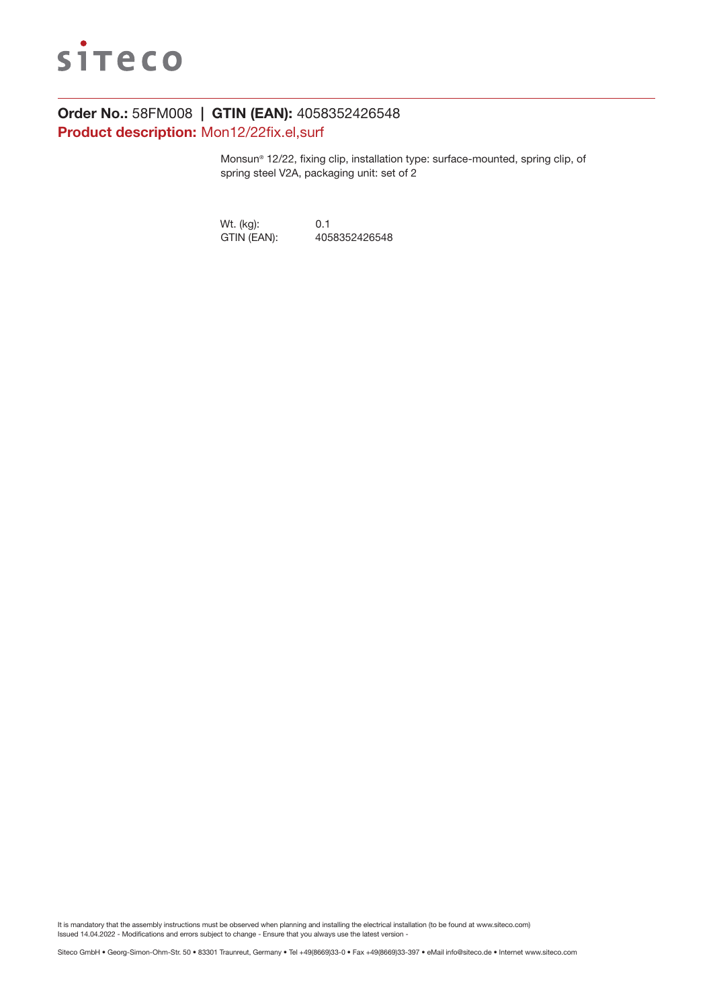

# Order No.: 58FM008 | GTIN (EAN): 4058352426548 Product description: Mon12/22fix.el,surf

Monsun® 12/22, fixing clip, installation type: surface-mounted, spring clip, of spring steel V2A, packaging unit: set of 2

Wt. (kg): 0.1<br>GTIN (EAN): 405 4058352426548

It is mandatory that the assembly instructions must be observed when planning and installing the electrical installation (to be found at www.siteco.com) Issued 14.04.2022 - Modifications and errors subject to change - Ensure that you always use the latest version -